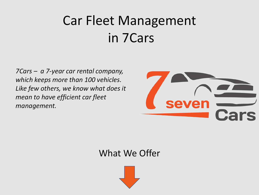### Car Fleet Management in 7Cars

*7Cars – a 7-year car rental company, which keeps more than 100 vehicles. Like few others, we know what does it mean to have efficient car fleet management.*



#### What We Offer

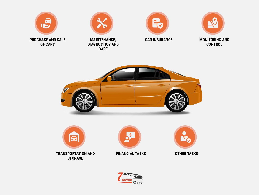

**PURCHASE AND SALE** OF CARS









**MONITORING AND CONTROL** 





**TRANSPORTATION AND STORAGE** 



**FINANCIAL TASKS** 



**OTHER TASKS** 

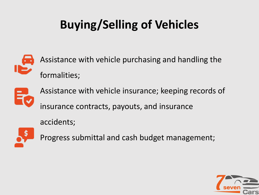### **Buying/Selling of Vehicles**



Assistance with vehicle purchasing and handling the formalities;



Assistance with vehicle insurance; keeping records of insurance contracts, payouts, and insurance

accidents;



Progress submittal and cash budget management;

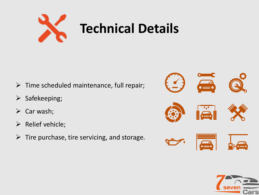

- $\triangleright$  Time scheduled maintenance, full repair;
- ➢ Safekeeping;
- $\triangleright$  Car wash;
- ➢ Relief vehicle;
- $\triangleright$  Tire purchase, tire servicing, and storage.



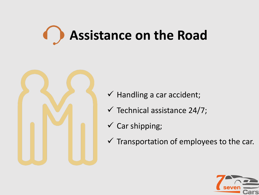# **Assistance on the Road**



- $\checkmark$  Handling a car accident;
- $\checkmark$  Technical assistance 24/7;
- $\checkmark$  Car shipping;
- $\checkmark$  Transportation of employees to the car.

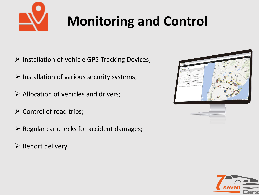

## **Monitoring and Control**

- ➢ Installation of Vehicle GPS-Tracking Devices;
- $\triangleright$  Installation of various security systems;
- $\triangleright$  Allocation of vehicles and drivers;
- $\triangleright$  Control of road trips;
- $\triangleright$  Regular car checks for accident damages;
- ➢ Report delivery.



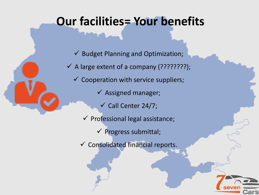### **Our facilities= Your benefits**

 $\checkmark$  Budget Planning and Optimization;  $\checkmark$  A large extent of a company (????????);  $\checkmark$  Cooperation with service suppliers;  $\checkmark$  Assigned manager;  $\checkmark$  Call Center 24/7;  $\checkmark$  Professional legal assistance;  $\checkmark$  Progress submittal;

✓ Consolidated financial reports.

;ars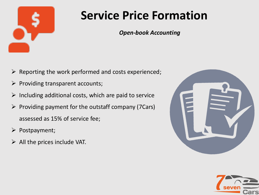

### **Service Price Formation**

*Open-book Accounting*

- $\triangleright$  Reporting the work performed and costs experienced;
- $\triangleright$  Providing transparent accounts;
- $\triangleright$  Including additional costs, which are paid to service
- $\triangleright$  Providing payment for the outstaff company (7Cars) assessed as 15% of service fee;
- ➢ Postpayment;
- $\triangleright$  All the prices include VAT.



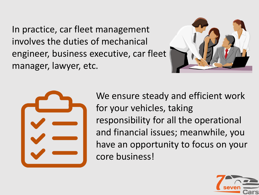In practice, car fleet management involves the duties of mechanical engineer, business executive, car fleet manager, lawyer, etc.





We ensure steady and efficient work for your vehicles, taking responsibility for all the operational and financial issues; meanwhile, you have an opportunity to focus on your core business!